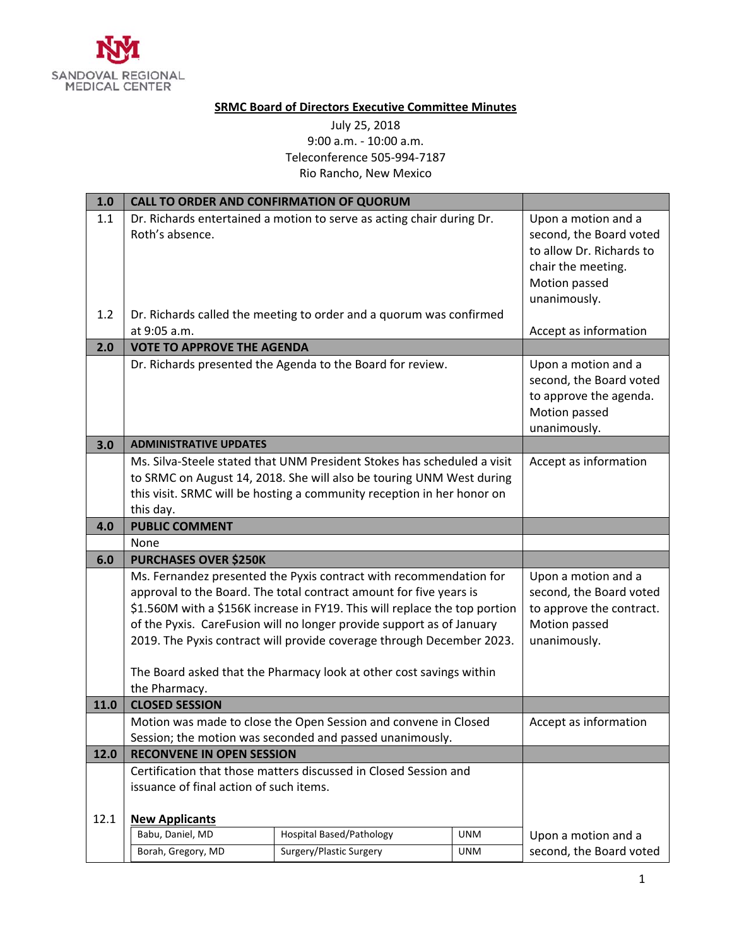

## **SRMC Board of Directors Executive Committee Minutes**

## July 25, 2018 9:00 a.m. ‐ 10:00 a.m. Teleconference 505‐994‐7187 Rio Rancho, New Mexico

| 1.0        | <b>CALL TO ORDER AND CONFIRMATION OF QUORUM</b>                                                                                                                                                                                                                                                                                                                                                                                                 |                                                                                                                                              |                                                                                                                                   |                         |
|------------|-------------------------------------------------------------------------------------------------------------------------------------------------------------------------------------------------------------------------------------------------------------------------------------------------------------------------------------------------------------------------------------------------------------------------------------------------|----------------------------------------------------------------------------------------------------------------------------------------------|-----------------------------------------------------------------------------------------------------------------------------------|-------------------------|
| 1.1<br>1.2 | Roth's absence.                                                                                                                                                                                                                                                                                                                                                                                                                                 | Dr. Richards entertained a motion to serve as acting chair during Dr.<br>Dr. Richards called the meeting to order and a quorum was confirmed | Upon a motion and a<br>second, the Board voted<br>to allow Dr. Richards to<br>chair the meeting.<br>Motion passed<br>unanimously. |                         |
|            | at 9:05 a.m.                                                                                                                                                                                                                                                                                                                                                                                                                                    |                                                                                                                                              |                                                                                                                                   | Accept as information   |
| 2.0        | <b>VOTE TO APPROVE THE AGENDA</b><br>Dr. Richards presented the Agenda to the Board for review.                                                                                                                                                                                                                                                                                                                                                 | Upon a motion and a                                                                                                                          |                                                                                                                                   |                         |
|            |                                                                                                                                                                                                                                                                                                                                                                                                                                                 | second, the Board voted<br>to approve the agenda.<br>Motion passed<br>unanimously.                                                           |                                                                                                                                   |                         |
| 3.0        | <b>ADMINISTRATIVE UPDATES</b>                                                                                                                                                                                                                                                                                                                                                                                                                   |                                                                                                                                              |                                                                                                                                   |                         |
|            | Ms. Silva-Steele stated that UNM President Stokes has scheduled a visit<br>to SRMC on August 14, 2018. She will also be touring UNM West during<br>this visit. SRMC will be hosting a community reception in her honor on<br>this day.                                                                                                                                                                                                          | Accept as information                                                                                                                        |                                                                                                                                   |                         |
| 4.0        | <b>PUBLIC COMMENT</b>                                                                                                                                                                                                                                                                                                                                                                                                                           |                                                                                                                                              |                                                                                                                                   |                         |
|            | None                                                                                                                                                                                                                                                                                                                                                                                                                                            |                                                                                                                                              |                                                                                                                                   |                         |
| 6.0        | <b>PURCHASES OVER \$250K</b>                                                                                                                                                                                                                                                                                                                                                                                                                    |                                                                                                                                              |                                                                                                                                   |                         |
|            | Ms. Fernandez presented the Pyxis contract with recommendation for<br>approval to the Board. The total contract amount for five years is<br>\$1.560M with a \$156K increase in FY19. This will replace the top portion<br>of the Pyxis. CareFusion will no longer provide support as of January<br>2019. The Pyxis contract will provide coverage through December 2023.<br>The Board asked that the Pharmacy look at other cost savings within | Upon a motion and a<br>second, the Board voted<br>to approve the contract.<br>Motion passed<br>unanimously.                                  |                                                                                                                                   |                         |
|            | the Pharmacy.<br><b>CLOSED SESSION</b>                                                                                                                                                                                                                                                                                                                                                                                                          |                                                                                                                                              |                                                                                                                                   |                         |
| 11.0       | Motion was made to close the Open Session and convene in Closed<br>Session; the motion was seconded and passed unanimously.                                                                                                                                                                                                                                                                                                                     | Accept as information                                                                                                                        |                                                                                                                                   |                         |
| 12.0       | <b>RECONVENE IN OPEN SESSION</b>                                                                                                                                                                                                                                                                                                                                                                                                                |                                                                                                                                              |                                                                                                                                   |                         |
| 12.1       | Certification that those matters discussed in Closed Session and<br>issuance of final action of such items.<br><b>New Applicants</b>                                                                                                                                                                                                                                                                                                            |                                                                                                                                              |                                                                                                                                   |                         |
|            | Babu, Daniel, MD<br><b>Hospital Based/Pathology</b><br><b>UNM</b>                                                                                                                                                                                                                                                                                                                                                                               |                                                                                                                                              |                                                                                                                                   | Upon a motion and a     |
|            | Borah, Gregory, MD                                                                                                                                                                                                                                                                                                                                                                                                                              | Surgery/Plastic Surgery                                                                                                                      | <b>UNM</b>                                                                                                                        | second, the Board voted |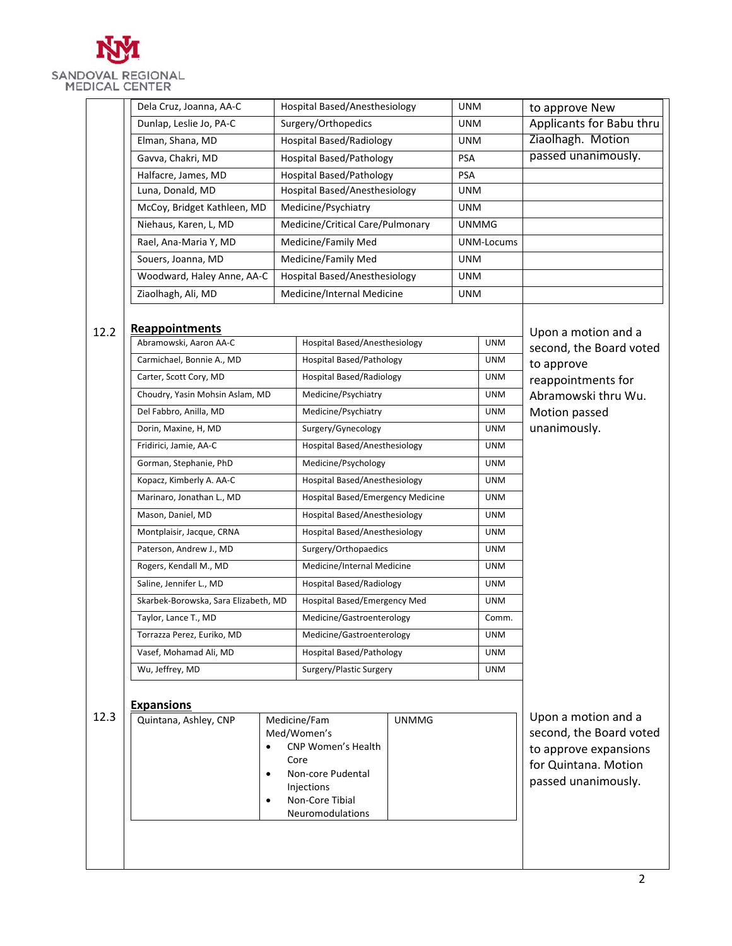

|      | Dela Cruz, Joanna, AA-C                                                                                                           |                               | Hospital Based/Anesthesiology                                            |            | <b>UNM</b>               |                          | to approve New                                |
|------|-----------------------------------------------------------------------------------------------------------------------------------|-------------------------------|--------------------------------------------------------------------------|------------|--------------------------|--------------------------|-----------------------------------------------|
|      | Dunlap, Leslie Jo, PA-C                                                                                                           | Surgery/Orthopedics           |                                                                          | <b>UNM</b> |                          | Applicants for Babu thru |                                               |
|      | Elman, Shana, MD                                                                                                                  |                               | <b>Hospital Based/Radiology</b>                                          |            | <b>UNM</b>               |                          | Ziaolhagh. Motion                             |
|      | Gavva, Chakri, MD                                                                                                                 |                               | <b>Hospital Based/Pathology</b>                                          |            |                          |                          | passed unanimously.                           |
|      | Halfacre, James, MD                                                                                                               |                               | <b>Hospital Based/Pathology</b>                                          |            | <b>PSA</b><br><b>PSA</b> |                          |                                               |
|      | Luna, Donald, MD                                                                                                                  |                               | Hospital Based/Anesthesiology                                            |            | <b>UNM</b>               |                          |                                               |
|      | McCoy, Bridget Kathleen, MD                                                                                                       |                               | Medicine/Psychiatry                                                      |            | <b>UNM</b>               |                          |                                               |
|      | Niehaus, Karen, L, MD                                                                                                             |                               | Medicine/Critical Care/Pulmonary                                         |            | <b>UNMMG</b>             |                          |                                               |
|      | Rael, Ana-Maria Y, MD                                                                                                             |                               | Medicine/Family Med                                                      |            |                          | UNM-Locums               |                                               |
|      | Souers, Joanna, MD                                                                                                                |                               | Medicine/Family Med                                                      |            | <b>UNM</b>               |                          |                                               |
|      | Woodward, Haley Anne, AA-C                                                                                                        |                               | Hospital Based/Anesthesiology                                            |            | <b>UNM</b>               |                          |                                               |
|      | Ziaolhagh, Ali, MD                                                                                                                |                               | Medicine/Internal Medicine                                               |            | <b>UNM</b>               |                          |                                               |
|      |                                                                                                                                   |                               |                                                                          |            |                          |                          |                                               |
| 12.2 | <b>Reappointments</b>                                                                                                             |                               |                                                                          |            |                          |                          | Upon a motion and a                           |
|      | Abramowski, Aaron AA-C                                                                                                            |                               | Hospital Based/Anesthesiology                                            |            |                          | <b>UNM</b>               | second, the Board voted                       |
|      | Carmichael, Bonnie A., MD                                                                                                         |                               | <b>Hospital Based/Pathology</b>                                          |            |                          | <b>UNM</b>               | to approve                                    |
|      | Carter, Scott Cory, MD                                                                                                            |                               | <b>Hospital Based/Radiology</b>                                          |            |                          | <b>UNM</b>               | reappointments for                            |
|      | Choudry, Yasin Mohsin Aslam, MD                                                                                                   |                               | Medicine/Psychiatry                                                      |            |                          | <b>UNM</b>               | Abramowski thru Wu.                           |
|      | Del Fabbro, Anilla, MD                                                                                                            |                               | Medicine/Psychiatry                                                      |            |                          | <b>UNM</b>               | Motion passed                                 |
|      | Dorin, Maxine, H, MD                                                                                                              |                               | Surgery/Gynecology                                                       |            |                          | <b>UNM</b>               | unanimously.                                  |
|      | Fridirici, Jamie, AA-C                                                                                                            | Hospital Based/Anesthesiology |                                                                          | <b>UNM</b> |                          |                          |                                               |
|      | Gorman, Stephanie, PhD<br>Kopacz, Kimberly A. AA-C<br>Marinaro, Jonathan L., MD<br>Mason, Daniel, MD<br>Montplaisir, Jacque, CRNA |                               | Medicine/Psychology                                                      |            |                          | <b>UNM</b>               |                                               |
|      |                                                                                                                                   |                               | Hospital Based/Anesthesiology                                            |            |                          | <b>UNM</b>               |                                               |
|      |                                                                                                                                   |                               | Hospital Based/Emergency Medicine                                        |            |                          | <b>UNM</b>               |                                               |
|      |                                                                                                                                   |                               | Hospital Based/Anesthesiology                                            |            |                          | <b>UNM</b>               |                                               |
|      |                                                                                                                                   |                               | Hospital Based/Anesthesiology                                            |            |                          | <b>UNM</b>               |                                               |
|      | Paterson, Andrew J., MD                                                                                                           |                               | Surgery/Orthopaedics                                                     |            | <b>UNM</b>               |                          |                                               |
|      | Rogers, Kendall M., MD                                                                                                            |                               | Medicine/Internal Medicine                                               |            |                          | <b>UNM</b>               |                                               |
|      | Saline, Jennifer L., MD<br>Skarbek-Borowska, Sara Elizabeth, MD                                                                   |                               | <b>Hospital Based/Radiology</b>                                          |            | <b>UNM</b>               |                          |                                               |
|      |                                                                                                                                   |                               | Hospital Based/Emergency Med                                             |            | <b>UNM</b>               |                          |                                               |
|      | Taylor, Lance T., MD                                                                                                              |                               | Medicine/Gastroenterology                                                |            | Comm.                    |                          |                                               |
|      | Torrazza Perez, Euriko, MD<br>Vasef, Mohamad Ali, MD<br>Wu, Jeffrey, MD                                                           |                               | Medicine/Gastroenterology                                                |            | <b>UNM</b>               |                          |                                               |
|      |                                                                                                                                   |                               | <b>Hospital Based/Pathology</b>                                          |            | <b>UNM</b>               |                          |                                               |
|      |                                                                                                                                   |                               | Surgery/Plastic Surgery                                                  |            | <b>UNM</b>               |                          |                                               |
|      |                                                                                                                                   |                               |                                                                          |            |                          |                          |                                               |
|      | <b>Expansions</b>                                                                                                                 |                               |                                                                          |            |                          |                          |                                               |
| 12.3 | Quintana, Ashley, CNP                                                                                                             |                               | Medicine/Fam<br><b>UNMMG</b><br>Med/Women's<br><b>CNP Women's Health</b> |            |                          |                          | Upon a motion and a                           |
|      |                                                                                                                                   |                               |                                                                          |            |                          |                          | second, the Board voted                       |
|      | $\bullet$                                                                                                                         |                               | Core                                                                     |            |                          |                          | to approve expansions<br>for Quintana. Motion |
|      |                                                                                                                                   |                               | Non-core Pudental                                                        |            |                          |                          | passed unanimously.                           |
|      |                                                                                                                                   | Injections                    |                                                                          |            |                          |                          |                                               |
|      |                                                                                                                                   |                               | Non-Core Tibial<br>Neuromodulations                                      |            |                          |                          |                                               |
|      |                                                                                                                                   |                               |                                                                          |            |                          |                          |                                               |
|      |                                                                                                                                   |                               |                                                                          |            |                          |                          |                                               |
|      |                                                                                                                                   |                               |                                                                          |            |                          |                          |                                               |